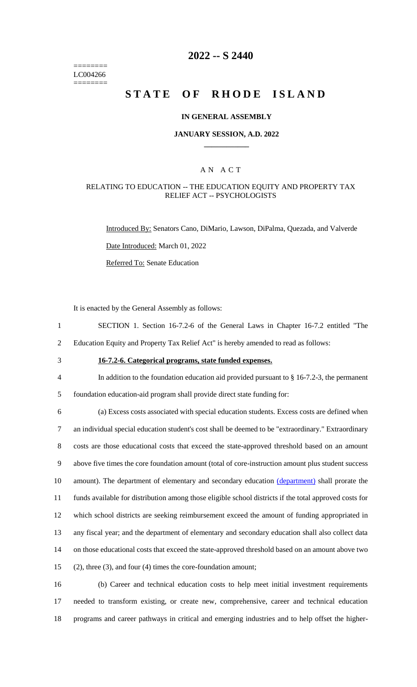======== LC004266 ========

# **2022 -- S 2440**

# **STATE OF RHODE ISLAND**

## **IN GENERAL ASSEMBLY**

## **JANUARY SESSION, A.D. 2022 \_\_\_\_\_\_\_\_\_\_\_\_**

## A N A C T

## RELATING TO EDUCATION -- THE EDUCATION EQUITY AND PROPERTY TAX RELIEF ACT -- PSYCHOLOGISTS

Introduced By: Senators Cano, DiMario, Lawson, DiPalma, Quezada, and Valverde

Date Introduced: March 01, 2022

Referred To: Senate Education

It is enacted by the General Assembly as follows:

- 1 SECTION 1. Section 16-7.2-6 of the General Laws in Chapter 16-7.2 entitled "The
- 2 Education Equity and Property Tax Relief Act" is hereby amended to read as follows:
- 

# 3 **16-7.2-6. Categorical programs, state funded expenses.**

4 In addition to the foundation education aid provided pursuant to § 16-7.2-3, the permanent

5 foundation education-aid program shall provide direct state funding for:

 (a) Excess costs associated with special education students. Excess costs are defined when an individual special education student's cost shall be deemed to be "extraordinary." Extraordinary costs are those educational costs that exceed the state-approved threshold based on an amount above five times the core foundation amount (total of core-instruction amount plus student success 10 amount). The department of elementary and secondary education (department) shall prorate the funds available for distribution among those eligible school districts if the total approved costs for which school districts are seeking reimbursement exceed the amount of funding appropriated in any fiscal year; and the department of elementary and secondary education shall also collect data on those educational costs that exceed the state-approved threshold based on an amount above two (2), three (3), and four (4) times the core-foundation amount;

16 (b) Career and technical education costs to help meet initial investment requirements 17 needed to transform existing, or create new, comprehensive, career and technical education 18 programs and career pathways in critical and emerging industries and to help offset the higher-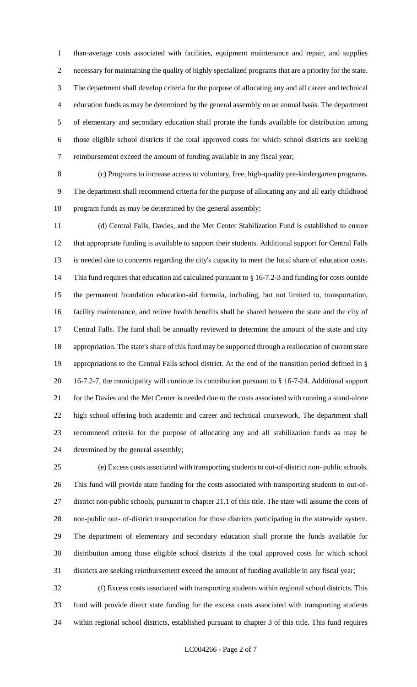than-average costs associated with facilities, equipment maintenance and repair, and supplies necessary for maintaining the quality of highly specialized programs that are a priority for the state. The department shall develop criteria for the purpose of allocating any and all career and technical education funds as may be determined by the general assembly on an annual basis. The department of elementary and secondary education shall prorate the funds available for distribution among those eligible school districts if the total approved costs for which school districts are seeking reimbursement exceed the amount of funding available in any fiscal year;

 (c) Programs to increase access to voluntary, free, high-quality pre-kindergarten programs. The department shall recommend criteria for the purpose of allocating any and all early childhood program funds as may be determined by the general assembly;

 (d) Central Falls, Davies, and the Met Center Stabilization Fund is established to ensure that appropriate funding is available to support their students. Additional support for Central Falls is needed due to concerns regarding the city's capacity to meet the local share of education costs. This fund requires that education aid calculated pursuant to § 16-7.2-3 and funding for costs outside the permanent foundation education-aid formula, including, but not limited to, transportation, facility maintenance, and retiree health benefits shall be shared between the state and the city of Central Falls. The fund shall be annually reviewed to determine the amount of the state and city appropriation. The state's share of this fund may be supported through a reallocation of current state appropriations to the Central Falls school district. At the end of the transition period defined in § 16-7.2-7, the municipality will continue its contribution pursuant to § 16-7-24. Additional support for the Davies and the Met Center is needed due to the costs associated with running a stand-alone high school offering both academic and career and technical coursework. The department shall recommend criteria for the purpose of allocating any and all stabilization funds as may be determined by the general assembly;

 (e) Excess costs associated with transporting students to out-of-district non- public schools. This fund will provide state funding for the costs associated with transporting students to out-of- district non-public schools, pursuant to chapter 21.1 of this title. The state will assume the costs of non-public out- of-district transportation for those districts participating in the statewide system. The department of elementary and secondary education shall prorate the funds available for distribution among those eligible school districts if the total approved costs for which school districts are seeking reimbursement exceed the amount of funding available in any fiscal year;

 (f) Excess costs associated with transporting students within regional school districts. This fund will provide direct state funding for the excess costs associated with transporting students within regional school districts, established pursuant to chapter 3 of this title. This fund requires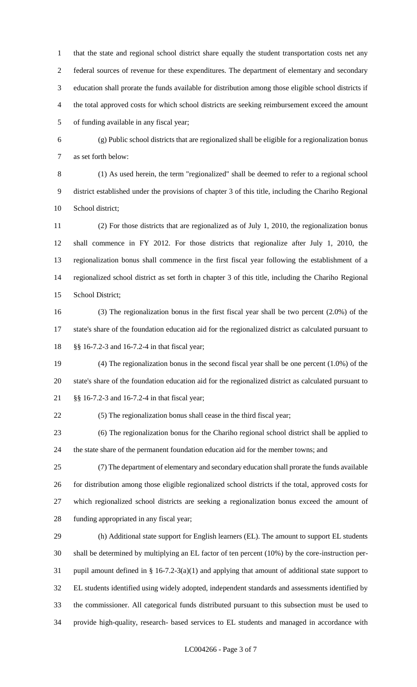that the state and regional school district share equally the student transportation costs net any federal sources of revenue for these expenditures. The department of elementary and secondary education shall prorate the funds available for distribution among those eligible school districts if the total approved costs for which school districts are seeking reimbursement exceed the amount of funding available in any fiscal year;

 (g) Public school districts that are regionalized shall be eligible for a regionalization bonus as set forth below:

 (1) As used herein, the term "regionalized" shall be deemed to refer to a regional school district established under the provisions of chapter 3 of this title, including the Chariho Regional School district;

 (2) For those districts that are regionalized as of July 1, 2010, the regionalization bonus shall commence in FY 2012. For those districts that regionalize after July 1, 2010, the regionalization bonus shall commence in the first fiscal year following the establishment of a regionalized school district as set forth in chapter 3 of this title, including the Chariho Regional School District;

 (3) The regionalization bonus in the first fiscal year shall be two percent (2.0%) of the state's share of the foundation education aid for the regionalized district as calculated pursuant to §§ 16-7.2-3 and 16-7.2-4 in that fiscal year;

 (4) The regionalization bonus in the second fiscal year shall be one percent (1.0%) of the state's share of the foundation education aid for the regionalized district as calculated pursuant to §§ 16-7.2-3 and 16-7.2-4 in that fiscal year;

(5) The regionalization bonus shall cease in the third fiscal year;

 (6) The regionalization bonus for the Chariho regional school district shall be applied to the state share of the permanent foundation education aid for the member towns; and

 (7) The department of elementary and secondary education shall prorate the funds available for distribution among those eligible regionalized school districts if the total, approved costs for which regionalized school districts are seeking a regionalization bonus exceed the amount of funding appropriated in any fiscal year;

 (h) Additional state support for English learners (EL). The amount to support EL students shall be determined by multiplying an EL factor of ten percent (10%) by the core-instruction per- pupil amount defined in § 16-7.2-3(a)(1) and applying that amount of additional state support to EL students identified using widely adopted, independent standards and assessments identified by the commissioner. All categorical funds distributed pursuant to this subsection must be used to provide high-quality, research- based services to EL students and managed in accordance with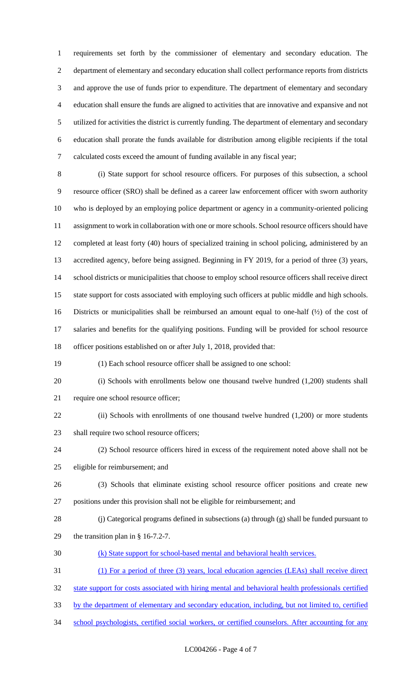requirements set forth by the commissioner of elementary and secondary education. The department of elementary and secondary education shall collect performance reports from districts and approve the use of funds prior to expenditure. The department of elementary and secondary education shall ensure the funds are aligned to activities that are innovative and expansive and not utilized for activities the district is currently funding. The department of elementary and secondary education shall prorate the funds available for distribution among eligible recipients if the total calculated costs exceed the amount of funding available in any fiscal year;

 (i) State support for school resource officers. For purposes of this subsection, a school resource officer (SRO) shall be defined as a career law enforcement officer with sworn authority who is deployed by an employing police department or agency in a community-oriented policing assignment to work in collaboration with one or more schools. School resource officers should have completed at least forty (40) hours of specialized training in school policing, administered by an accredited agency, before being assigned. Beginning in FY 2019, for a period of three (3) years, school districts or municipalities that choose to employ school resource officers shall receive direct state support for costs associated with employing such officers at public middle and high schools. Districts or municipalities shall be reimbursed an amount equal to one-half (½) of the cost of salaries and benefits for the qualifying positions. Funding will be provided for school resource officer positions established on or after July 1, 2018, provided that:

(1) Each school resource officer shall be assigned to one school:

 (i) Schools with enrollments below one thousand twelve hundred (1,200) students shall require one school resource officer;

22 (ii) Schools with enrollments of one thousand twelve hundred (1,200) or more students shall require two school resource officers;

 (2) School resource officers hired in excess of the requirement noted above shall not be eligible for reimbursement; and

- (3) Schools that eliminate existing school resource officer positions and create new positions under this provision shall not be eligible for reimbursement; and
- (j) Categorical programs defined in subsections (a) through (g) shall be funded pursuant to the transition plan in § 16-7.2-7.
- (k) State support for school-based mental and behavioral health services.
- (1) For a period of three (3) years, local education agencies (LEAs) shall receive direct
- state support for costs associated with hiring mental and behavioral health professionals certified
- by the department of elementary and secondary education, including, but not limited to, certified
- 34 school psychologists, certified social workers, or certified counselors. After accounting for any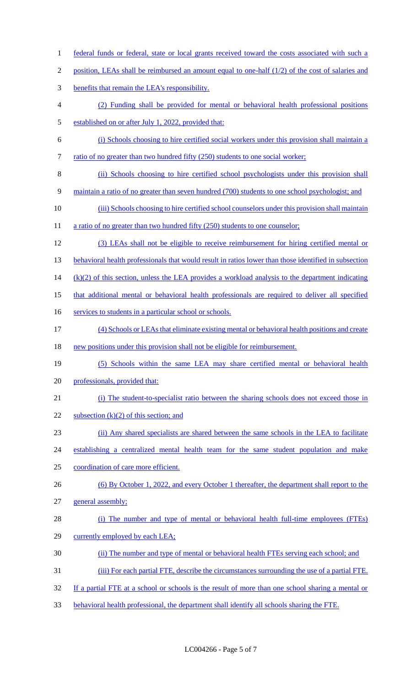1 federal funds or federal, state or local grants received toward the costs associated with such a 2 position, LEAs shall be reimbursed an amount equal to one-half (1/2) of the cost of salaries and benefits that remain the LEA's responsibility. (2) Funding shall be provided for mental or behavioral health professional positions established on or after July 1, 2022, provided that: (i) Schools choosing to hire certified social workers under this provision shall maintain a 7 ratio of no greater than two hundred fifty (250) students to one social worker; (ii) Schools choosing to hire certified school psychologists under this provision shall 9 maintain a ratio of no greater than seven hundred (700) students to one school psychologist; and (iii) Schools choosing to hire certified school counselors under this provision shall maintain 11 a ratio of no greater than two hundred fifty (250) students to one counselor; (3) LEAs shall not be eligible to receive reimbursement for hiring certified mental or 13 behavioral health professionals that would result in ratios lower than those identified in subsection (k)(2) of this section, unless the LEA provides a workload analysis to the department indicating that additional mental or behavioral health professionals are required to deliver all specified 16 services to students in a particular school or schools. (4) Schools or LEAs that eliminate existing mental or behavioral health positions and create new positions under this provision shall not be eligible for reimbursement. (5) Schools within the same LEA may share certified mental or behavioral health professionals, provided that: (i) The student-to-specialist ratio between the sharing schools does not exceed those in 22 subsection  $(k)(2)$  of this section; and (ii) Any shared specialists are shared between the same schools in the LEA to facilitate establishing a centralized mental health team for the same student population and make coordination of care more efficient. (6) By October 1, 2022, and every October 1 thereafter, the department shall report to the general assembly; 28 (i) The number and type of mental or behavioral health full-time employees (FTEs) currently employed by each LEA; (ii) The number and type of mental or behavioral health FTEs serving each school; and (iii) For each partial FTE, describe the circumstances surrounding the use of a partial FTE. If a partial FTE at a school or schools is the result of more than one school sharing a mental or behavioral health professional, the department shall identify all schools sharing the FTE.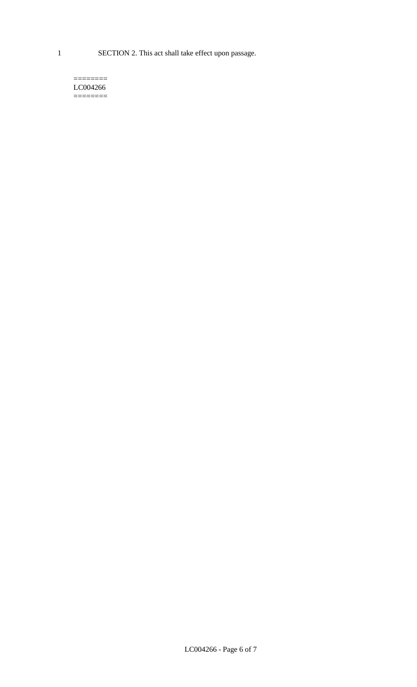1 SECTION 2. This act shall take effect upon passage.

#### $=$ LC004266  $=$